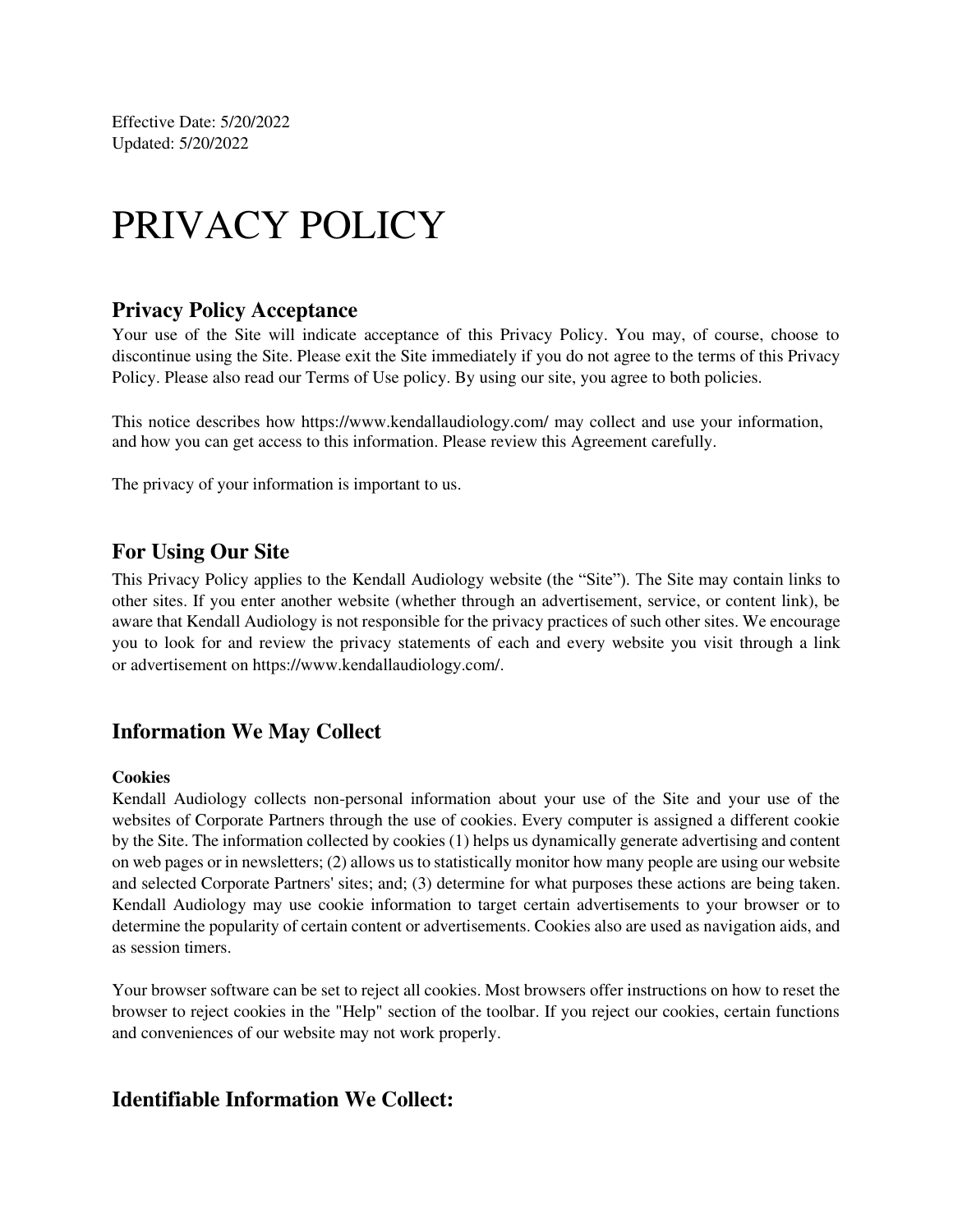Effective Date: 5/20/2022 Updated: 5/20/2022

# PRIVACY POLICY

#### **Privacy Policy Acceptance**

Your use of the Site will indicate acceptance of this Privacy Policy. You may, of course, choose to discontinue using the Site. Please exit the Site immediately if you do not agree to the terms of this Privacy Policy. Please also read our Terms of Use policy. By using our site, you agree to both policies.

This notice describes how https://www.kendallaudiology.com/ may collect and use your information, and how you can get access to this information. Please review this Agreement carefully.

The privacy of your information is important to us.

#### **For Using Our Site**

This Privacy Policy applies to the Kendall Audiology website (the "Site"). The Site may contain links to other sites. If you enter another website (whether through an advertisement, service, or content link), be aware that Kendall Audiology is not responsible for the privacy practices of such other sites. We encourage you to look for and review the privacy statements of each and every website you visit through a link or advertisement on https://www.kendallaudiology.com/.

#### **Information We May Collect**

#### **Cookies**

Kendall Audiology collects non-personal information about your use of the Site and your use of the websites of Corporate Partners through the use of cookies. Every computer is assigned a different cookie by the Site. The information collected by cookies (1) helps us dynamically generate advertising and content on web pages or in newsletters; (2) allows us to statistically monitor how many people are using our website and selected Corporate Partners' sites; and; (3) determine for what purposes these actions are being taken. Kendall Audiology may use cookie information to target certain advertisements to your browser or to determine the popularity of certain content or advertisements. Cookies also are used as navigation aids, and as session timers.

Your browser software can be set to reject all cookies. Most browsers offer instructions on how to reset the browser to reject cookies in the "Help" section of the toolbar. If you reject our cookies, certain functions and conveniences of our website may not work properly.

#### **Identifiable Information We Collect:**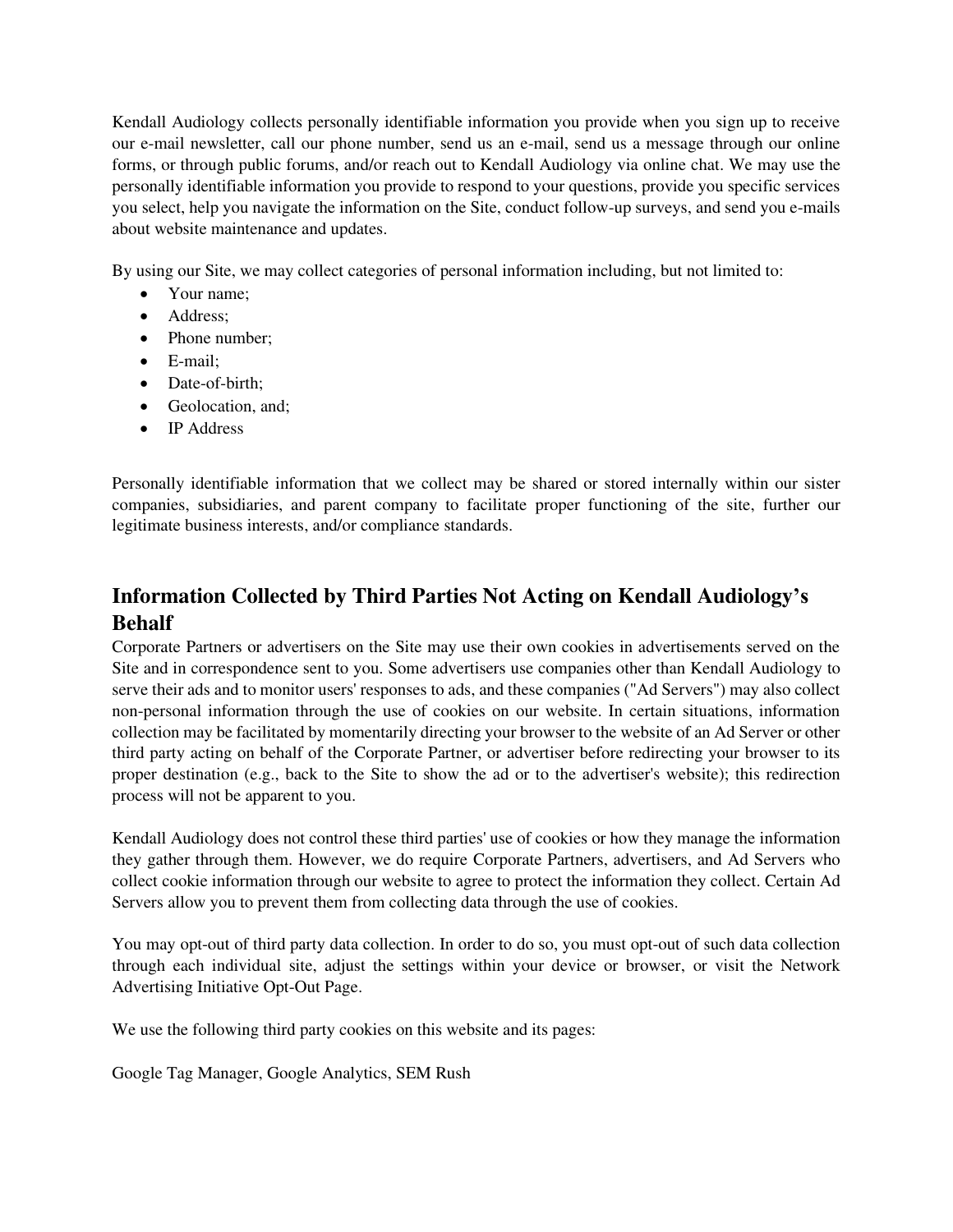Kendall Audiology collects personally identifiable information you provide when you sign up to receive our e-mail newsletter, call our phone number, send us an e-mail, send us a message through our online forms, or through public forums, and/or reach out to Kendall Audiology via online chat. We may use the personally identifiable information you provide to respond to your questions, provide you specific services you select, help you navigate the information on the Site, conduct follow-up surveys, and send you e-mails about website maintenance and updates.

By using our Site, we may collect categories of personal information including, but not limited to:

- Your name:
- Address;
- Phone number:
- E-mail;
- Date-of-birth:
- Geolocation, and;
- IP Address

Personally identifiable information that we collect may be shared or stored internally within our sister companies, subsidiaries, and parent company to facilitate proper functioning of the site, further our legitimate business interests, and/or compliance standards.

# **Information Collected by Third Parties Not Acting on Kendall Audiology's Behalf**

Corporate Partners or advertisers on the Site may use their own cookies in advertisements served on the Site and in correspondence sent to you. Some advertisers use companies other than Kendall Audiology to serve their ads and to monitor users' responses to ads, and these companies ("Ad Servers") may also collect non-personal information through the use of cookies on our website. In certain situations, information collection may be facilitated by momentarily directing your browser to the website of an Ad Server or other third party acting on behalf of the Corporate Partner, or advertiser before redirecting your browser to its proper destination (e.g., back to the Site to show the ad or to the advertiser's website); this redirection process will not be apparent to you.

Kendall Audiology does not control these third parties' use of cookies or how they manage the information they gather through them. However, we do require Corporate Partners, advertisers, and Ad Servers who collect cookie information through our website to agree to protect the information they collect. Certain Ad Servers allow you to prevent them from collecting data through the use of cookies.

You may opt-out of third party data collection. In order to do so, you must opt-out of such data collection through each individual site, adjust the settings within your device or browser, or visit the Network Advertising Initiative Opt-Out Page.

We use the following third party cookies on this website and its pages:

Google Tag Manager, Google Analytics, SEM Rush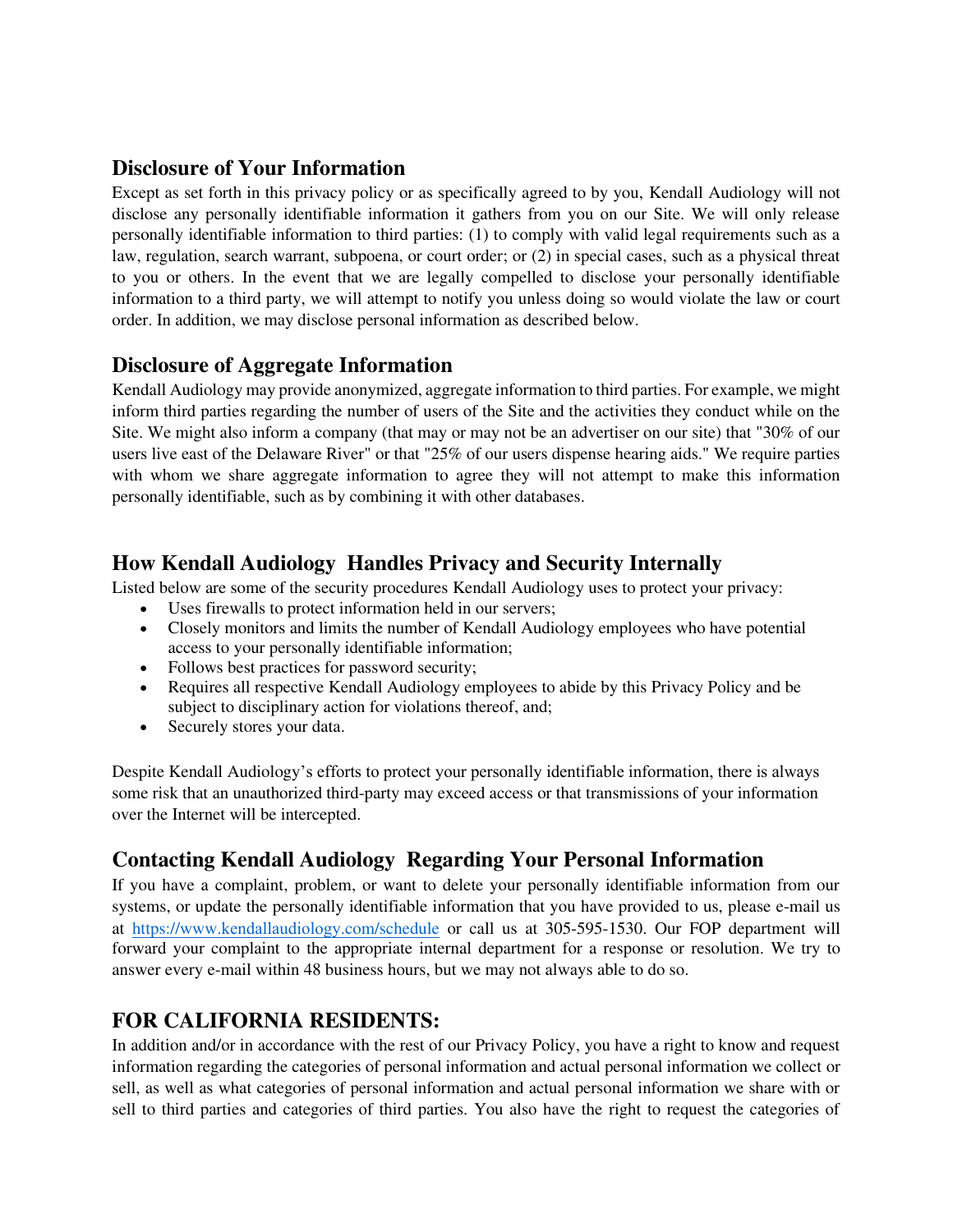### **Disclosure of Your Information**

Except as set forth in this privacy policy or as specifically agreed to by you, Kendall Audiology will not disclose any personally identifiable information it gathers from you on our Site. We will only release personally identifiable information to third parties: (1) to comply with valid legal requirements such as a law, regulation, search warrant, subpoena, or court order; or (2) in special cases, such as a physical threat to you or others. In the event that we are legally compelled to disclose your personally identifiable information to a third party, we will attempt to notify you unless doing so would violate the law or court order. In addition, we may disclose personal information as described below.

# **Disclosure of Aggregate Information**

Kendall Audiology may provide anonymized, aggregate information to third parties. For example, we might inform third parties regarding the number of users of the Site and the activities they conduct while on the Site. We might also inform a company (that may or may not be an advertiser on our site) that "30% of our users live east of the Delaware River" or that "25% of our users dispense hearing aids." We require parties with whom we share aggregate information to agree they will not attempt to make this information personally identifiable, such as by combining it with other databases.

## **How Kendall Audiology Handles Privacy and Security Internally**

Listed below are some of the security procedures Kendall Audiology uses to protect your privacy:

- Uses firewalls to protect information held in our servers;
- Closely monitors and limits the number of Kendall Audiology employees who have potential access to your personally identifiable information;
- Follows best practices for password security;
- Requires all respective Kendall Audiology employees to abide by this Privacy Policy and be subject to disciplinary action for violations thereof, and;
- Securely stores your data.

Despite Kendall Audiology's efforts to protect your personally identifiable information, there is always some risk that an unauthorized third-party may exceed access or that transmissions of your information over the Internet will be intercepted.

# **Contacting Kendall Audiology Regarding Your Personal Information**

If you have a complaint, problem, or want to delete your personally identifiable information from our systems, or update the personally identifiable information that you have provided to us, please e-mail us at https://www.[kendallaudiology](https://www.theaudiologyctr.com/schedule).com/schedule or call us at 305-595-1530. Our FOP department will forward your complaint to the appropriate internal department for a response or resolution. We try to answer every e-mail within 48 business hours, but we may not always able to do so.

# **FOR CALIFORNIA RESIDENTS:**

In addition and/or in accordance with the rest of our Privacy Policy, you have a right to know and request information regarding the categories of personal information and actual personal information we collect or sell, as well as what categories of personal information and actual personal information we share with or sell to third parties and categories of third parties. You also have the right to request the categories of